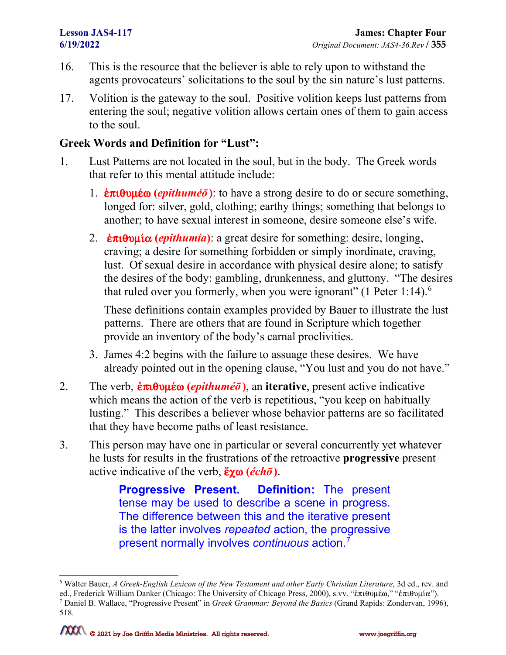- 16. This is the resource that the believer is able to rely upon to withstand the agents provocateurs' solicitations to the soul by the sin nature's lust patterns.
- 17. Volition is the gateway to the soul. Positive volition keeps lust patterns from entering the soul; negative volition allows certain ones of them to gain access to the soul.

## **Greek Words and Definition for "Lust":**

- 1. Lust Patterns are not located in the soul, but in the body. The Greek words that refer to this mental attitude include:
	- 1.  $\frac{\partial \pi}{\partial \theta}$ **u** $\frac{\partial \phi}{\partial \theta}$  (*epithuméo*<sup> $\theta$ </sup>): to have a strong desire to do or secure something, longed for: silver, gold, clothing; earthy things; something that belongs to another; to have sexual interest in someone, desire someone else's wife.
	- 2.  $\mathbf{\hat{e}}\pi\mathbf{\hat{u}}\theta\mathbf{\hat{u}}$  (*epithumía*): a great desire for something: desire, longing, craving; a desire for something forbidden or simply inordinate, craving, lust. Of sexual desire in accordance with physical desire alone; to satisfy the desires of the body: gambling, drunkenness, and gluttony. "The desires that ruled over you formerly, when you were ignorant" (1 Peter 1:14).<sup>[6](#page-0-0)</sup>

These definitions contain examples provided by Bauer to illustrate the lust patterns. There are others that are found in Scripture which together provide an inventory of the body's carnal proclivities.

- 3. James 4:2 begins with the failure to assuage these desires. We have already pointed out in the opening clause, "You lust and you do not have."
- 2. The verb,  $\frac{\partial \pi}{\partial \phi}$  (*epithumé* $\bar{\phi}$ ), an iterative, present active indicative which means the action of the verb is repetitious, "you keep on habitually lusting." This describes a believer whose behavior patterns are so facilitated that they have become paths of least resistance.
- 3. This person may have one in particular or several concurrently yet whatever he lusts for results in the frustrations of the retroactive **progressive** present active indicative of the verb,  $\zeta_{\chi} \omega$  (*échō*).

**Progressive Present. Definition:** The present tense may be used to describe a scene in progress. The difference between this and the iterative present is the latter involves *repeated* action, the progressive present normally involves *continuous* action.[7](#page-0-1)

<span id="page-0-1"></span><span id="page-0-0"></span><sup>6</sup> Walter Bauer, *A Greek-English Lexicon of the New Testament and other Early Christian Literature*, 3d ed., rev. and ed., Frederick William Danker (Chicago: The University of Chicago Press, 2000), s.vv. "ἐπιθυμέω," "ἐπιθυμία"). <sup>7</sup> Daniel B. Wallace, "Progressive Present" in *Greek Grammar: Beyond the Basics* (Grand Rapids: Zondervan, 1996), 518.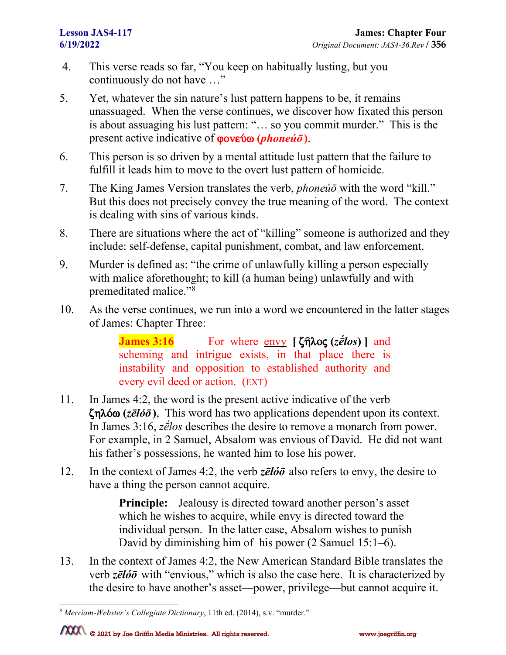- 4. This verse reads so far, "You keep on habitually lusting, but you continuously do not have …"
- 5. Yet, whatever the sin nature's lust pattern happens to be, it remains unassuaged. When the verse continues, we discover how fixated this person is about assuaging his lust pattern: "… so you commit murder." This is the present active indicative of **gove** 0 $\omega$  (*phoneuv* $\overline{\omega}$ ).
- 6. This person is so driven by a mental attitude lust pattern that the failure to fulfill it leads him to move to the overt lust pattern of homicide.
- 7. The King James Version translates the verb, *phoneúō* with the word "kill." But this does not precisely convey the true meaning of the word. The context is dealing with sins of various kinds.
- 8. There are situations where the act of "killing" someone is authorized and they include: self-defense, capital punishment, combat, and law enforcement.
- 9. Murder is defined as: "the crime of unlawfully killing a person especially with malice aforethought; to kill (a human being) unlawfully and with premeditated malice."[8](#page-1-0)
- 10. As the verse continues, we run into a word we encountered in the latter stages of James: Chapter Three:

**James 3:16** For where envy **[** zÁloj **(***zḗlos***) ]** and scheming and intrigue exists, in that place there is instability and opposition to established authority and every evil deed or action.(EXT)

- 11. In James 4:2, the word is the present active indicative of the verb zhlÒw **(***zēlóō***)**, This word has two applications dependent upon its context. In James 3:16, *zḗlos* describes the desire to remove a monarch from power. For example, in 2 Samuel, Absalom was envious of David. He did not want his father's possessions, he wanted him to lose his power.
- 12. In the context of James 4:2, the verb *zēlóō* also refers to envy, the desire to have a thing the person cannot acquire.

**Principle:** Jealousy is directed toward another person's asset which he wishes to acquire, while envy is directed toward the individual person. In the latter case, Absalom wishes to punish David by diminishing him of his power (2 Samuel 15:1–6).

13. In the context of James 4:2, the New American Standard Bible translates the verb *zēlóō* with "envious," which is also the case here. It is characterized by the desire to have another's asset—power, privilege—but cannot acquire it.

<span id="page-1-0"></span><sup>8</sup> *Merriam-Webster's Collegiate Dictionary*, 11th ed. (2014), s.v. "murder."